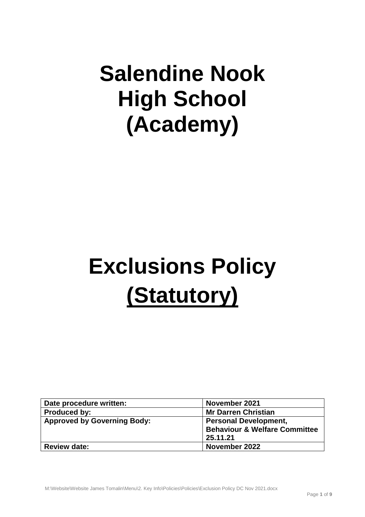# **Salendine Nook High School (Academy)**

# **Exclusions Policy (Statutory)**

| Date procedure written:            | November 2021                            |
|------------------------------------|------------------------------------------|
| <b>Produced by:</b>                | <b>Mr Darren Christian</b>               |
| <b>Approved by Governing Body:</b> | <b>Personal Development,</b>             |
|                                    | <b>Behaviour &amp; Welfare Committee</b> |
|                                    | 25.11.21                                 |
| <b>Review date:</b>                | November 2022                            |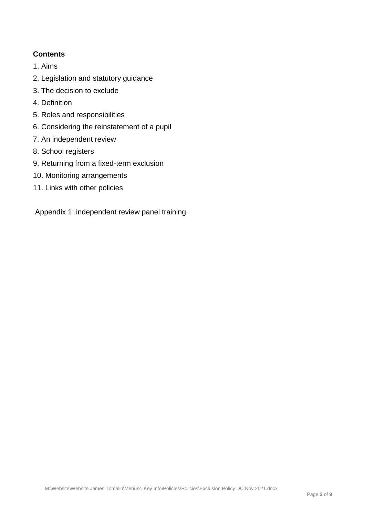# **Contents**

- 1. Aims
- 2. Legislation and statutory guidance
- 3. The decision to exclude
- 4. Definition
- 5. Roles and responsibilities
- 6. Considering the reinstatement of a pupil
- 7. An independent review
- 8. School registers
- 9. Returning from a fixed-term exclusion
- 10. Monitoring arrangements
- 11. Links with other policies

Appendix 1: independent review panel training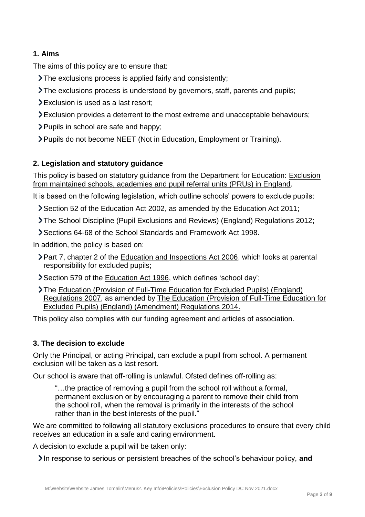# **1. Aims**

The aims of this policy are to ensure that:

- The exclusions process is applied fairly and consistently;
- The exclusions process is understood by governors, staff, parents and pupils;
- Exclusion is used as a last resort;
- Exclusion provides a deterrent to the most extreme and unacceptable behaviours;
- > Pupils in school are safe and happy;
- Pupils do not become NEET (Not in Education, Employment or Training).

# **2. Legislation and statutory guidance**

This policy is based on statutory guidance from the Department for Education: [Exclusion](https://www.gov.uk/government/publications/school-exclusion)  [from maintained schools, academies and pupil referral units \(PRUs\) in England.](https://www.gov.uk/government/publications/school-exclusion)

It is based on the following legislation, which outline schools' powers to exclude pupils:

- Section 52 of the [Education Act 2002,](http://www.legislation.gov.uk/ukpga/2002/32/section/52) as amended by the [Education Act 2011;](http://www.legislation.gov.uk/ukpga/2011/21/contents/enacted)
- [The School Discipline \(Pupil Exclusions and Reviews\) \(England\) Regulations 2012;](http://www.legislation.gov.uk/uksi/2012/1033/made)
- Sections 64-68 of the [School Standards and Framework Act 1998.](http://www.legislation.gov.uk/ukpga/1998/31)

In addition, the policy is based on:

- **>Part 7, chapter 2 of the [Education and Inspections Act 2006,](http://www.legislation.gov.uk/ukpga/2006/40/part/7/chapter/2) which looks at parental** responsibility for excluded pupils;
- Section 579 of the [Education Act 1996,](http://www.legislation.gov.uk/ukpga/1996/56/section/579) which defines 'school day';
- The [Education \(Provision of Full-Time Education for Excluded Pupils\) \(England\)](http://www.legislation.gov.uk/uksi/2007/1870/contents/made)  [Regulations 2007,](http://www.legislation.gov.uk/uksi/2007/1870/contents/made) as amended by [The Education \(Provision of Full-Time Education for](http://www.legislation.gov.uk/uksi/2014/3216/contents/made)  [Excluded Pupils\) \(England\) \(Amendment\) Regulations 2014.](http://www.legislation.gov.uk/uksi/2014/3216/contents/made)

This policy also complies with our funding agreement and articles of association.

## **3. The decision to exclude**

Only the Principal, or acting Principal, can exclude a pupil from school. A permanent exclusion will be taken as a last resort.

Our school is aware that off-rolling is unlawful. Ofsted defines off-rolling as:

"…the practice of removing a pupil from the school roll without a formal, permanent exclusion or by encouraging a parent to remove their child from the school roll, when the removal is primarily in the interests of the school rather than in the best interests of the pupil."

We are committed to following all statutory exclusions procedures to ensure that every child receives an education in a safe and caring environment.

A decision to exclude a pupil will be taken only:

In response to serious or persistent breaches of the school's behaviour policy, and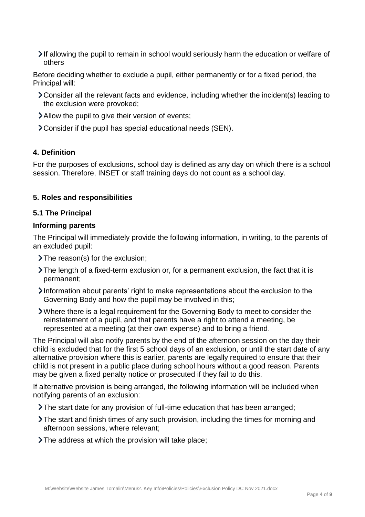If allowing the pupil to remain in school would seriously harm the education or welfare of others

Before deciding whether to exclude a pupil, either permanently or for a fixed period, the Principal will:

- Consider all the relevant facts and evidence, including whether the incident(s) leading to the exclusion were provoked;
- Allow the pupil to give their version of events;
- Consider if the pupil has special educational needs (SEN).

#### **4. Definition**

For the purposes of exclusions, school day is defined as any day on which there is a school session. Therefore, INSET or staff training days do not count as a school day.

#### **5. Roles and responsibilities**

#### **5.1 The Principal**

#### **Informing parents**

The Principal will immediately provide the following information, in writing, to the parents of an excluded pupil:

- > The reason(s) for the exclusion;
- The length of a fixed-term exclusion or, for a permanent exclusion, the fact that it is permanent;
- Information about parents' right to make representations about the exclusion to the Governing Body and how the pupil may be involved in this;
- Where there is a legal requirement for the Governing Body to meet to consider the reinstatement of a pupil, and that parents have a right to attend a meeting, be represented at a meeting (at their own expense) and to bring a friend.

The Principal will also notify parents by the end of the afternoon session on the day their child is excluded that for the first 5 school days of an exclusion, or until the start date of any alternative provision where this is earlier, parents are legally required to ensure that their child is not present in a public place during school hours without a good reason. Parents may be given a fixed penalty notice or prosecuted if they fail to do this.

If alternative provision is being arranged, the following information will be included when notifying parents of an exclusion:

- The start date for any provision of full-time education that has been arranged;
- The start and finish times of any such provision, including the times for morning and afternoon sessions, where relevant;
- The address at which the provision will take place;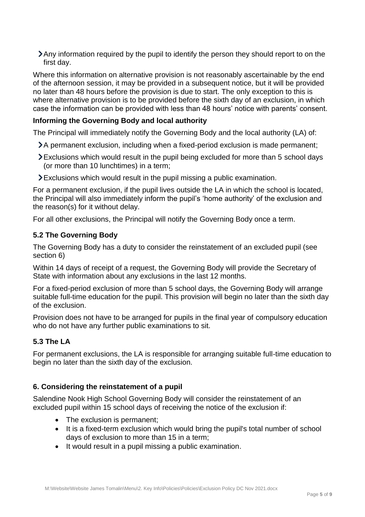Any information required by the pupil to identify the person they should report to on the first day.

Where this information on alternative provision is not reasonably ascertainable by the end of the afternoon session, it may be provided in a subsequent notice, but it will be provided no later than 48 hours before the provision is due to start. The only exception to this is where alternative provision is to be provided before the sixth day of an exclusion, in which case the information can be provided with less than 48 hours' notice with parents' consent.

#### **Informing the Governing Body and local authority**

The Principal will immediately notify the Governing Body and the local authority (LA) of:

- A permanent exclusion, including when a fixed-period exclusion is made permanent;
- Exclusions which would result in the pupil being excluded for more than 5 school days (or more than 10 lunchtimes) in a term;
- Exclusions which would result in the pupil missing a public examination.

For a permanent exclusion, if the pupil lives outside the LA in which the school is located, the Principal will also immediately inform the pupil's 'home authority' of the exclusion and the reason(s) for it without delay.

For all other exclusions, the Principal will notify the Governing Body once a term.

#### **5.2 The Governing Body**

The Governing Body has a duty to consider the reinstatement of an excluded pupil (see section 6)

Within 14 days of receipt of a request, the Governing Body will provide the Secretary of State with information about any exclusions in the last 12 months.

For a fixed-period exclusion of more than 5 school days, the Governing Body will arrange suitable full-time education for the pupil. This provision will begin no later than the sixth day of the exclusion.

Provision does not have to be arranged for pupils in the final year of compulsory education who do not have any further public examinations to sit.

## **5.3 The LA**

For permanent exclusions, the LA is responsible for arranging suitable full-time education to begin no later than the sixth day of the exclusion.

#### **6. Considering the reinstatement of a pupil**

Salendine Nook High School Governing Body will consider the reinstatement of an excluded pupil within 15 school days of receiving the notice of the exclusion if:

- The exclusion is permanent:
- It is a fixed-term exclusion which would bring the pupil's total number of school days of exclusion to more than 15 in a term;
- It would result in a pupil missing a public examination.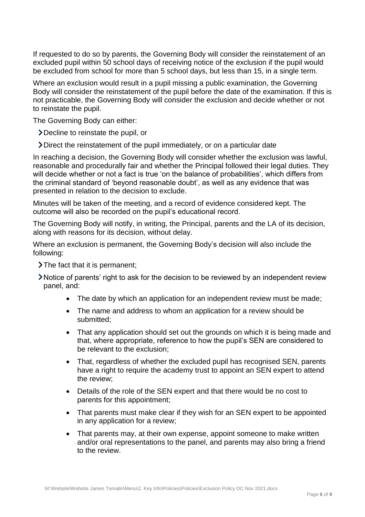If requested to do so by parents, the Governing Body will consider the reinstatement of an excluded pupil within 50 school days of receiving notice of the exclusion if the pupil would be excluded from school for more than 5 school days, but less than 15, in a single term.

Where an exclusion would result in a pupil missing a public examination, the Governing Body will consider the reinstatement of the pupil before the date of the examination. If this is not practicable, the Governing Body will consider the exclusion and decide whether or not to reinstate the pupil.

The Governing Body can either:

Decline to reinstate the pupil, or

Direct the reinstatement of the pupil immediately, or on a particular date

In reaching a decision, the Governing Body will consider whether the exclusion was lawful, reasonable and procedurally fair and whether the Principal followed their legal duties. They will decide whether or not a fact is true 'on the balance of probabilities', which differs from the criminal standard of 'beyond reasonable doubt', as well as any evidence that was presented in relation to the decision to exclude.

Minutes will be taken of the meeting, and a record of evidence considered kept. The outcome will also be recorded on the pupil's educational record.

The Governing Body will notify, in writing, the Principal, parents and the LA of its decision, along with reasons for its decision, without delay.

Where an exclusion is permanent, the Governing Body's decision will also include the following:

 $\sum$  The fact that it is permanent;

Notice of parents' right to ask for the decision to be reviewed by an independent review panel, and:

- The date by which an application for an independent review must be made;
- The name and address to whom an application for a review should be submitted;
- That any application should set out the grounds on which it is being made and that, where appropriate, reference to how the pupil's SEN are considered to be relevant to the exclusion;
- That, regardless of whether the excluded pupil has recognised SEN, parents have a right to require the academy trust to appoint an SEN expert to attend the review;
- Details of the role of the SEN expert and that there would be no cost to parents for this appointment;
- That parents must make clear if they wish for an SEN expert to be appointed in any application for a review;
- That parents may, at their own expense, appoint someone to make written and/or oral representations to the panel, and parents may also bring a friend to the review.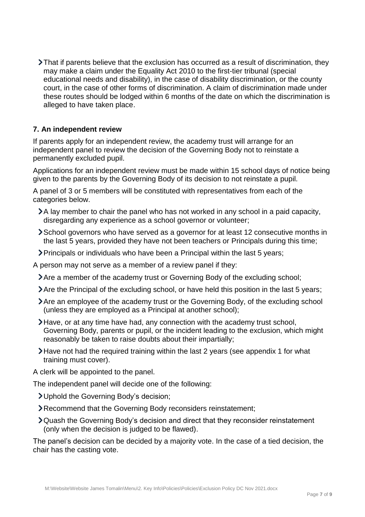That if parents believe that the exclusion has occurred as a result of discrimination, they may make a claim under the Equality Act 2010 to the first-tier tribunal (special educational needs and disability), in the case of disability discrimination, or the county court, in the case of other forms of discrimination. A claim of discrimination made under these routes should be lodged within 6 months of the date on which the discrimination is alleged to have taken place.

#### **7. An independent review**

If parents apply for an independent review, the academy trust will arrange for an independent panel to review the decision of the Governing Body not to reinstate a permanently excluded pupil.

Applications for an independent review must be made within 15 school days of notice being given to the parents by the Governing Body of its decision to not reinstate a pupil.

A panel of 3 or 5 members will be constituted with representatives from each of the categories below.

- A lay member to chair the panel who has not worked in any school in a paid capacity, disregarding any experience as a school governor or volunteer;
- School governors who have served as a governor for at least 12 consecutive months in the last 5 years, provided they have not been teachers or Principals during this time;
- Principals or individuals who have been a Principal within the last 5 years;

A person may not serve as a member of a review panel if they:

- Are a member of the academy trust or Governing Body of the excluding school;
- Are the Principal of the excluding school, or have held this position in the last 5 years;
- Are an employee of the academy trust or the Governing Body, of the excluding school (unless they are employed as a Principal at another school);
- Have, or at any time have had, any connection with the academy trust school, Governing Body, parents or pupil, or the incident leading to the exclusion, which might reasonably be taken to raise doubts about their impartially;
- Have not had the required training within the last 2 years (see appendix 1 for what training must cover).
- A clerk will be appointed to the panel.

The independent panel will decide one of the following:

- Uphold the Governing Body's decision;
- Recommend that the Governing Body reconsiders reinstatement;
- Quash the Governing Body's decision and direct that they reconsider reinstatement (only when the decision is judged to be flawed).

The panel's decision can be decided by a majority vote. In the case of a tied decision, the chair has the casting vote.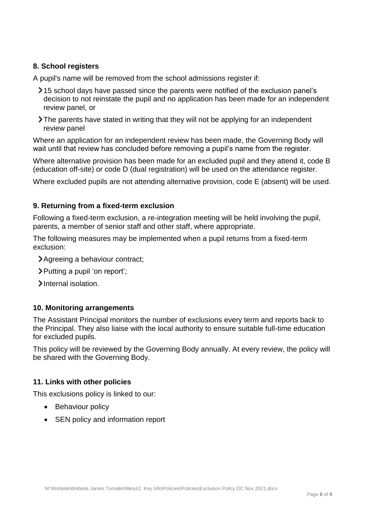#### **8. School registers**

A pupil's name will be removed from the school admissions register if:

- 15 school days have passed since the parents were notified of the exclusion panel's decision to not reinstate the pupil and no application has been made for an independent review panel, or
- The parents have stated in writing that they will not be applying for an independent review panel

Where an application for an independent review has been made, the Governing Body will wait until that review has concluded before removing a pupil's name from the register.

Where alternative provision has been made for an excluded pupil and they attend it, code B (education off-site) or code D (dual registration) will be used on the attendance register.

Where excluded pupils are not attending alternative provision, code E (absent) will be used.

#### **9. Returning from a fixed-term exclusion**

Following a fixed-term exclusion, a re-integration meeting will be held involving the pupil, parents, a member of senior staff and other staff, where appropriate.

The following measures may be implemented when a pupil returns from a fixed-term exclusion:

- Agreeing a behaviour contract;
- Putting a pupil 'on report';
- Internal isolation.

#### **10. Monitoring arrangements**

The Assistant Principal monitors the number of exclusions every term and reports back to the Principal. They also liaise with the local authority to ensure suitable full-time education for excluded pupils.

This policy will be reviewed by the Governing Body annually. At every review, the policy will be shared with the Governing Body.

#### **11. Links with other policies**

This exclusions policy is linked to our:

- Behaviour policy
- SEN policy and information report